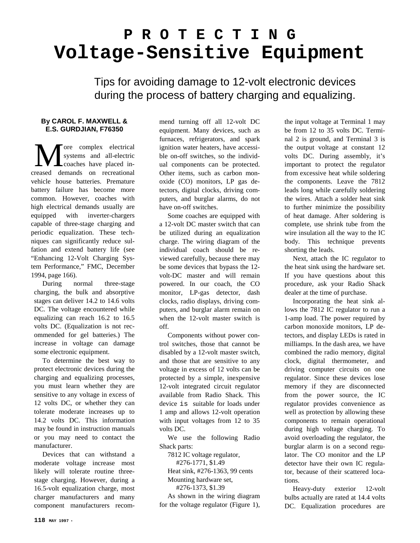## **P R O T E C T I N G Voltage-Sensitive Equipment**

Tips for avoiding damage to 12-volt electronic devices during the process of battery charging and equalizing.

## **By CAROL F. MAXWELL & E.S. GURDJIAN, F76350**

ore complex electrical systems and all-electric **L** coaches have placed in-**M** ore complex electrical<br>systems and all-electric<br>creased demands on recreational vehicle house batteries. Premature battery failure has become more common. However, coaches with high electrical demands usually are equipped with inverter-chargers capable of three-stage charging and periodic equalization. These techniques can significantly reduce sulfation and extend battery life (see "Enhancing 12-Volt Charging System Performance," FMC, December 1994, page 166).

During normal three-stage charging, the bulk and absorptive stages can deliver 14.2 to 14.6 volts DC. The voltage encountered while equalizing can reach 16.2 to 16.5 volts DC. (Equalization is not recommended for gel batteries.) The increase in voltage can damage some electronic equipment.

To determine the best way to protect electronic devices during the charging and equalizing processes, you must learn whether they are sensitive to any voltage in excess of 12 volts DC, or whether they can tolerate moderate increases up to 14.2 volts DC. This information may be found in instruction manuals or you may need to contact the manufacturer.

Devices that can withstand a moderate voltage increase most likely will tolerate routine threestage charging. However, during a 16.5-volt equalization charge, most charger manufacturers and many component manufacturers recom-

mend turning off all 12-volt DC equipment. Many devices, such as furnaces, refrigerators, and spark ignition water heaters, have accessible on-off switches, so the individual components can be protected. Other items, such as carbon monoxide (CO) monitors, LP gas detectors, digital clocks, driving computers, and burglar alarms, do not have on-off switches.

Some coaches are equipped with a 12-volt DC master switch that can be utilized during an equalization charge. The wiring diagram of the individual coach should be reviewed carefully, because there may be some devices that bypass the 12 volt-DC master and will remain powered. In our coach, the CO monitor, LP-gas detector, dash clocks, radio displays, driving computers, and burglar alarm remain on when the 12-volt master switch is off.

Components without power control switches, those that cannot be disabled by a 12-volt master switch, and those that are sensitive to any voltage in excess of 12 volts can be protected by a simple, inexpensive 12-volt integrated circuit regulator available from Radio Shack. This device is suitable for loads under 1 amp and allows 12-volt operation with input voltages from 12 to 35 volts DC.

We use the following Radio Shack parts:

7812 IC voltage regulator, #276-1771, \$1.49 Heat sink, #276-1363, 99 cents

Mounting hardware set, #276-1373, \$1.39

As shown in the wiring diagram for the voltage regulator (Figure 1),

the input voltage at Terminal 1 may be from 12 to 35 volts DC. Terminal 2 is ground, and Terminal 3 is the output voltage at constant 12 volts DC. During assembly, it's important to protect the regulator from excessive heat while soldering the components. Leave the 7812 leads long while carefully soldering the wires. Attach a solder heat sink to further minimize the possibility of heat damage. After soldering is complete, use shrink tube from the wire insulation all the way to the IC body. This technique prevents shorting the leads.

Next, attach the IC regulator to the heat sink using the hardware set. If you have questions about this procedure, ask your Radio Shack dealer at the time of purchase.

Incorporating the heat sink allows the 7812 IC regulator to run a 1-amp load. The power required by carbon monoxide monitors, LP detectors, and display LEDs is rated in milliamps. In the dash area, we have combined the radio memory, digital clock, digital thermometer, and driving computer circuits on one regulator. Since these devices lose memory if they are disconnected from the power source, the IC regulator provides convenience as well as protection by allowing these components to remain operational during high voltage charging. To avoid overloading the regulator, the burglar alarm is on a second regulator. The CO monitor and the LP detector have their own IC regulator, because of their scattered locations.

Heavy-duty exterior 12-volt bulbs actually are rated at 14.4 volts DC. Equalization procedures are